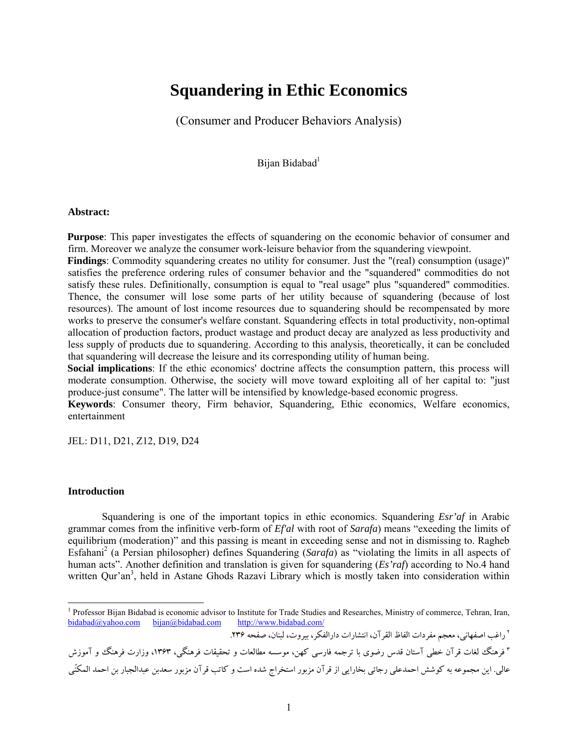# **Squandering in Ethic Economics**

(Consumer and Producer Behaviors Analysis)

Bijan Bidabad<sup>1</sup>

#### **Abstract:**

**Purpose**: This paper investigates the effects of squandering on the economic behavior of consumer and firm. Moreover we analyze the consumer work-leisure behavior from the squandering viewpoint.

**Findings**: Commodity squandering creates no utility for consumer. Just the "(real) consumption (usage)" satisfies the preference ordering rules of consumer behavior and the "squandered" commodities do not satisfy these rules. Definitionally, consumption is equal to "real usage" plus "squandered" commodities. Thence, the consumer will lose some parts of her utility because of squandering (because of lost resources). The amount of lost income resources due to squandering should be recompensated by more works to preserve the consumer's welfare constant. Squandering effects in total productivity, non-optimal allocation of production factors, product wastage and product decay are analyzed as less productivity and less supply of products due to squandering. According to this analysis, theoretically, it can be concluded that squandering will decrease the leisure and its corresponding utility of human being.

**Social implications**: If the ethic economics' doctrine affects the consumption pattern, this process will moderate consumption. Otherwise, the society will move toward exploiting all of her capital to: "just produce-just consume". The latter will be intensified by knowledge-based economic progress.

**Keywords**: Consumer theory, Firm behavior, Squandering, Ethic economics, Welfare economics, entertainment

JEL: D11, D21, Z12, D19, D24

## **Introduction**

-

Squandering is one of the important topics in ethic economics. Squandering *Esr'af* in Arabic grammar comes from the infinitive verb-form of *Ef'al* with root of *Sarafa*) means "exeeding the limits of equilibrium (moderation)" and this passing is meant in exceeding sense and not in dismissing to. Ragheb Esfahani<sup>2</sup> (a Persian philosopher) defines Squandering (*Sarafa*) as "violating the limits in all aspects of human acts". Another definition and translation is given for squandering (*Es'raf*) according to No.4 hand written Qur'an<sup>3</sup>, held in Astane Ghods Razavi Library which is mostly taken into consideration within

راغب اصفهاني، معجم مفردات الفاظ القرآن، انتشارات دارالفكر، بيروت، لبنان، صفحه .236 <sup>2</sup>

| " فرهنگ لغات قرآن خطی آستان قدس رضوی با ترجمه فارسی کهن، موسسه مطالعات و تحقیقات فرهنگی، ۱۳۶۳، وزارت فرهنگ و آموزش             |  |
|--------------------------------------------------------------------------------------------------------------------------------|--|
| عالي. اين مجموعه به كوشش احمدعلي رجائي بخارايي از قرآن مزبور استخراج شده است و كاتب قرآن مزبور سعدبن عبدالجبار بن احمد المكنّي |  |

<sup>&</sup>lt;sup>1</sup> Professor Bijan Bidabad is economic advisor to Institute for Trade Studies and Researches, Ministry of commerce, Tehran, Iran, bidabad@yahoo.com bijan@bidabad.com http://www.bidabad.com/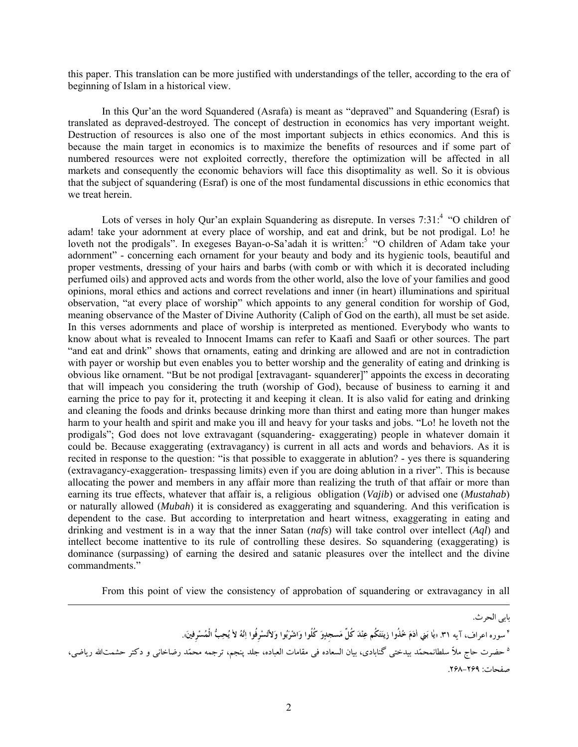this paper. This translation can be more justified with understandings of the teller, according to the era of beginning of Islam in a historical view.

In this Qur'an the word Squandered (Asrafa) is meant as "depraved" and Squandering (Esraf) is translated as depraved-destroyed. The concept of destruction in economics has very important weight. Destruction of resources is also one of the most important subjects in ethics economics. And this is because the main target in economics is to maximize the benefits of resources and if some part of numbered resources were not exploited correctly, therefore the optimization will be affected in all markets and consequently the economic behaviors will face this disoptimality as well. So it is obvious that the subject of squandering (Esraf) is one of the most fundamental discussions in ethic economics that we treat herein.

Lots of verses in holy Qur'an explain Squandering as disrepute. In verses 7:31:<sup>4</sup> "O children of adam! take your adornment at every place of worship, and eat and drink, but be not prodigal. Lo! he loveth not the prodigals". In exegeses Bayan-o-Sa'adah it is written:<sup>5</sup> "O children of Adam take your adornment" - concerning each ornament for your beauty and body and its hygienic tools, beautiful and proper vestments, dressing of your hairs and barbs (with comb or with which it is decorated including perfumed oils) and approved acts and words from the other world, also the love of your families and good opinions, moral ethics and actions and correct revelations and inner (in heart) illuminations and spiritual observation, "at every place of worship" which appoints to any general condition for worship of God, meaning observance of the Master of Divine Authority (Caliph of God on the earth), all must be set aside. In this verses adornments and place of worship is interpreted as mentioned. Everybody who wants to know about what is revealed to Innocent Imams can refer to Kaafi and Saafi or other sources. The part "and eat and drink" shows that ornaments, eating and drinking are allowed and are not in contradiction with payer or worship but even enables you to better worship and the generality of eating and drinking is obvious like ornament. "But be not prodigal [extravagant- squanderer]" appoints the excess in decorating that will impeach you considering the truth (worship of God), because of business to earning it and earning the price to pay for it, protecting it and keeping it clean. It is also valid for eating and drinking and cleaning the foods and drinks because drinking more than thirst and eating more than hunger makes harm to your health and spirit and make you ill and heavy for your tasks and jobs. "Lo! he loveth not the prodigals"; God does not love extravagant (squandering- exaggerating) people in whatever domain it could be. Because exaggerating (extravagancy) is current in all acts and words and behaviors. As it is recited in response to the question: "is that possible to exaggerate in ablution? - yes there is squandering (extravagancy-exaggeration- trespassing limits) even if you are doing ablution in a river". This is because allocating the power and members in any affair more than realizing the truth of that affair or more than earning its true effects, whatever that affair is, a religious obligation (*Vajib*) or advised one (*Mustahab*) or naturally allowed (*Mubah*) it is considered as exaggerating and squandering. And this verification is dependent to the case. But according to interpretation and heart witness, exaggerating in eating and drinking and vestment is in a way that the inner Satan (*nafs*) will take control over intellect (*Aql*) and intellect become inattentive to its rule of controlling these desires. So squandering (exaggerating) is dominance (surpassing) of earning the desired and satanic pleasures over the intellect and the divine commandments."

From this point of view the consistency of approbation of squandering or extravagancy in all

بابي الحرث. <sup>؟</sup> سوره اعراف، آيه ٣١. «لِما بَنى ادَمَ خُلُوا زينَتَكُم عِنْدَ كُلَّ مَسجدِوَ كُلُوا وَاشْرَبُوا وَلاتُسْرِفُوا إنَّهُ لا يُحِبُّ الْمُسْرِفينَ. <sup>ه</sup> حضرت حاج ملاّ سلطانمحمّد بيدختي گنابادي، بيان السعاده في مقامات العباده، جلد پنجم، ترجمه محمّد رضاخاني و دكتر حشمتالله رياضي، صفحات: .268-269

l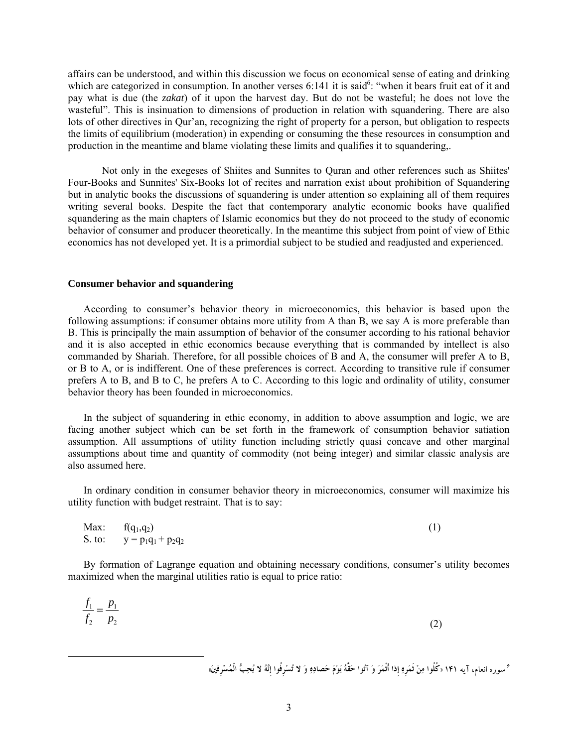affairs can be understood, and within this discussion we focus on economical sense of eating and drinking which are categorized in consumption. In another verses 6:141 it is said<sup>6</sup>: "when it bears fruit eat of it and pay what is due (the *zakat*) of it upon the harvest day. But do not be wasteful; he does not love the wasteful". This is insinuation to dimensions of production in relation with squandering. There are also lots of other directives in Qur'an, recognizing the right of property for a person, but obligation to respects the limits of equilibrium (moderation) in expending or consuming the these resources in consumption and production in the meantime and blame violating these limits and qualifies it to squandering,.

Not only in the exegeses of Shiites and Sunnites to Quran and other references such as Shiites' Four-Books and Sunnites' Six-Books lot of recites and narration exist about prohibition of Squandering but in analytic books the discussions of squandering is under attention so explaining all of them requires writing several books. Despite the fact that contemporary analytic economic books have qualified squandering as the main chapters of Islamic economics but they do not proceed to the study of economic behavior of consumer and producer theoretically. In the meantime this subject from point of view of Ethic economics has not developed yet. It is a primordial subject to be studied and readjusted and experienced.

#### **Consumer behavior and squandering**

According to consumer's behavior theory in microeconomics, this behavior is based upon the following assumptions: if consumer obtains more utility from A than B, we say A is more preferable than B. This is principally the main assumption of behavior of the consumer according to his rational behavior and it is also accepted in ethic economics because everything that is commanded by intellect is also commanded by Shariah. Therefore, for all possible choices of B and A, the consumer will prefer A to B, or B to A, or is indifferent. One of these preferences is correct. According to transitive rule if consumer prefers A to B, and B to C, he prefers A to C. According to this logic and ordinality of utility, consumer behavior theory has been founded in microeconomics.

 In the subject of squandering in ethic economy, in addition to above assumption and logic, we are facing another subject which can be set forth in the framework of consumption behavior satiation assumption. All assumptions of utility function including strictly quasi concave and other marginal assumptions about time and quantity of commodity (not being integer) and similar classic analysis are also assumed here.

 In ordinary condition in consumer behavior theory in microeconomics, consumer will maximize his utility function with budget restraint. That is to say:

| Max: $f(q_1,q_2)$            | (1) |
|------------------------------|-----|
| S. to: $y = p_1q_1 + p_2q_2$ |     |

 By formation of Lagrange equation and obtaining necessary conditions, consumer's utility becomes maximized when the marginal utilities ratio is equal to price ratio:

$$
\frac{f_1}{f_2} = \frac{p_1}{p_2} \tag{2}
$$

° سوره انعام، آيه ١۴١ «كُلُوا مِنْ ثَمَرِهِ إذا أَثْمَرَ وَ آتُوا حَقَّهُ يَوْمَ حَصادِهِ وَ لا تُسْرِفُوا إنَّهُ لا يُحِبُّ الْمُسْرِفِينَ»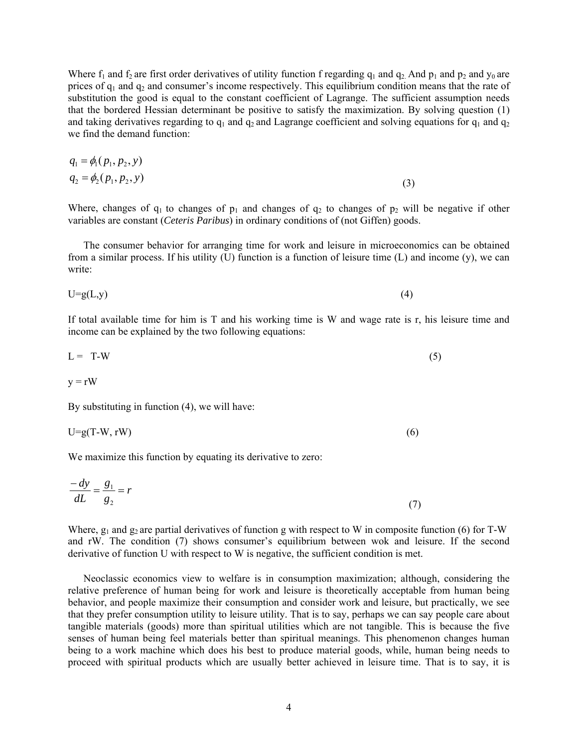Where  $f_1$  and  $f_2$  are first order derivatives of utility function f regarding  $q_1$  and  $q_2$  And  $p_1$  and  $p_2$  and  $y_0$  are prices of  $q_1$  and  $q_2$  and consumer's income respectively. This equilibrium condition means that the rate of substitution the good is equal to the constant coefficient of Lagrange. The sufficient assumption needs that the bordered Hessian determinant be positive to satisfy the maximization. By solving question (1) and taking derivatives regarding to  $q_1$  and  $q_2$  and Lagrange coefficient and solving equations for  $q_1$  and  $q_2$ we find the demand function:

$$
q_1 = \phi_1(p_1, p_2, y)
$$
  
\n
$$
q_2 = \phi_2(p_1, p_2, y)
$$
\n(3)

Where, changes of  $q_1$  to changes of  $p_1$  and changes of  $q_2$  to changes of  $p_2$  will be negative if other variables are constant (*Ceteris Paribus*) in ordinary conditions of (not Giffen) goods.

 The consumer behavior for arranging time for work and leisure in microeconomics can be obtained from a similar process. If his utility  $(U)$  function is a function of leisure time  $(L)$  and income  $(y)$ , we can write:

$$
U=g(L,y) \tag{4}
$$

If total available time for him is T and his working time is W and wage rate is r, his leisure time and income can be explained by the two following equations:

$$
L = T-W \tag{5}
$$

$$
y = rW
$$

By substituting in function (4), we will have:

$$
U = g(T - W, rW) \tag{6}
$$

We maximize this function by equating its derivative to zero:

$$
\frac{-dy}{dL} = \frac{g_1}{g_2} = r \tag{7}
$$

Where,  $g_1$  and  $g_2$  are partial derivatives of function g with respect to W in composite function (6) for T-W and rW. The condition (7) shows consumer's equilibrium between wok and leisure. If the second derivative of function U with respect to W is negative, the sufficient condition is met.

 Neoclassic economics view to welfare is in consumption maximization; although, considering the relative preference of human being for work and leisure is theoretically acceptable from human being behavior, and people maximize their consumption and consider work and leisure, but practically, we see that they prefer consumption utility to leisure utility. That is to say, perhaps we can say people care about tangible materials (goods) more than spiritual utilities which are not tangible. This is because the five senses of human being feel materials better than spiritual meanings. This phenomenon changes human being to a work machine which does his best to produce material goods, while, human being needs to proceed with spiritual products which are usually better achieved in leisure time. That is to say, it is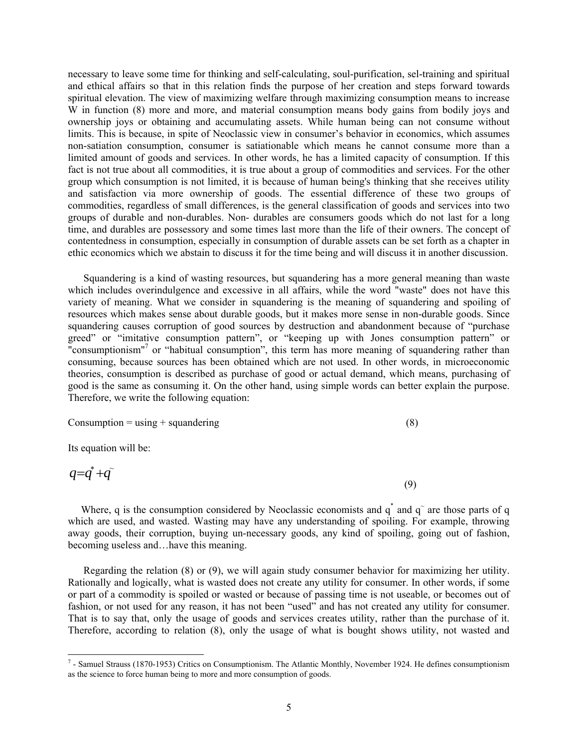necessary to leave some time for thinking and self-calculating, soul-purification, sel-training and spiritual and ethical affairs so that in this relation finds the purpose of her creation and steps forward towards spiritual elevation. The view of maximizing welfare through maximizing consumption means to increase  $\hat{W}$  in function (8) more and more, and material consumption means body gains from bodily joys and ownership joys or obtaining and accumulating assets. While human being can not consume without limits. This is because, in spite of Neoclassic view in consumer's behavior in economics, which assumes non-satiation consumption, consumer is satiationable which means he cannot consume more than a limited amount of goods and services. In other words, he has a limited capacity of consumption. If this fact is not true about all commodities, it is true about a group of commodities and services. For the other group which consumption is not limited, it is because of human being's thinking that she receives utility and satisfaction via more ownership of goods. The essential difference of these two groups of commodities, regardless of small differences, is the general classification of goods and services into two groups of durable and non-durables. Non- durables are consumers goods which do not last for a long time, and durables are possessory and some times last more than the life of their owners. The concept of contentedness in consumption, especially in consumption of durable assets can be set forth as a chapter in ethic economics which we abstain to discuss it for the time being and will discuss it in another discussion.

 Squandering is a kind of wasting resources, but squandering has a more general meaning than waste which includes overindulgence and excessive in all affairs, while the word "waste" does not have this variety of meaning. What we consider in squandering is the meaning of squandering and spoiling of resources which makes sense about durable goods, but it makes more sense in non-durable goods. Since squandering causes corruption of good sources by destruction and abandonment because of "purchase greed" or "imitative consumption pattern", or "keeping up with Jones consumption pattern" or "consumptionism"<sup>7</sup> or "habitual consumption", this term has more meaning of squandering rather than consuming, because sources has been obtained which are not used. In other words, in microeconomic theories, consumption is described as purchase of good or actual demand, which means, purchasing of good is the same as consuming it. On the other hand, using simple words can better explain the purpose. Therefore, we write the following equation:

$$
Consumption = using + squandering
$$
\n
$$
(8)
$$

Its equation will be:

$$
q = \dot{q} + \ddot{q} \tag{9}
$$

Where, q is the consumption considered by Neoclassic economists and  $q^*$  and  $q^-$  are those parts of q which are used, and wasted. Wasting may have any understanding of spoiling. For example, throwing away goods, their corruption, buying un-necessary goods, any kind of spoiling, going out of fashion, becoming useless and…have this meaning.

 Regarding the relation (8) or (9), we will again study consumer behavior for maximizing her utility. Rationally and logically, what is wasted does not create any utility for consumer. In other words, if some or part of a commodity is spoiled or wasted or because of passing time is not useable, or becomes out of fashion, or not used for any reason, it has not been "used" and has not created any utility for consumer. That is to say that, only the usage of goods and services creates utility, rather than the purchase of it. Therefore, according to relation (8), only the usage of what is bought shows utility, not wasted and

<sup>&</sup>lt;sup>7</sup> - Samuel Strauss (1870-1953) Critics on Consumptionism. The Atlantic Monthly, November 1924. He defines consumptionism as the science to force human being to more and more consumption of goods.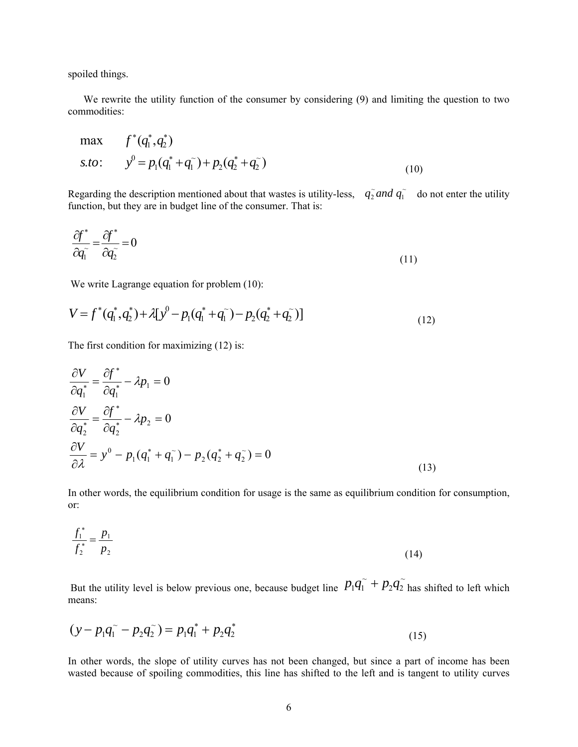spoiled things.

 We rewrite the utility function of the consumer by considering (9) and limiting the question to two commodities:

max 
$$
f^*(q_1^*, q_2^*)
$$
  
s.to:  $y^0 = p_1(q_1^* + q_1^*) + p_2(q_2^* + q_2^*)$  (10)

Regarding the description mentioned about that wastes is utility-less,  $q_2 \tilde{q}$  and  $q_1 \tilde{q}$  do not enter the utility function, but they are in budget line of the consumer. That is:  $q_2^{\sim}$  *and*  $q_1^{\sim}$ 

$$
\frac{\partial f^*}{\partial q_1^*} = \frac{\partial f^*}{\partial q_2^*} = 0\tag{11}
$$

We write Lagrange equation for problem (10):

$$
V = f^*(q_1^*, q_2^*) + \lambda [y^0 - p_1(q_1^* + q_1^-) - p_2(q_2^* + q_2^-)]
$$
\n(12)

The first condition for maximizing (12) is:

$$
\frac{\partial V}{\partial q_1^*} = \frac{\partial f^*}{\partial q_1^*} - \lambda p_1 = 0
$$
  
\n
$$
\frac{\partial V}{\partial q_2^*} = \frac{\partial f^*}{\partial q_2^*} - \lambda p_2 = 0
$$
  
\n
$$
\frac{\partial V}{\partial \lambda} = y^0 - p_1 (q_1^* + q_1^-) - p_2 (q_2^* + q_2^-) = 0
$$
\n(13)

In other words, the equilibrium condition for usage is the same as equilibrium condition for consumption, or:

$$
\frac{f_1^*}{f_2^*} = \frac{p_1}{p_2} \tag{14}
$$

But the utility level is below previous one, because budget line  $P_1q_1 + P_2q_2$  $p_1 q_1 + p_2 q_2$  has shifted to left which means:

$$
(y - p_1 q_1^{\sim} - p_2 q_2^{\sim}) = p_1 q_1^* + p_2 q_2^*
$$
\n(15)

In other words, the slope of utility curves has not been changed, but since a part of income has been wasted because of spoiling commodities, this line has shifted to the left and is tangent to utility curves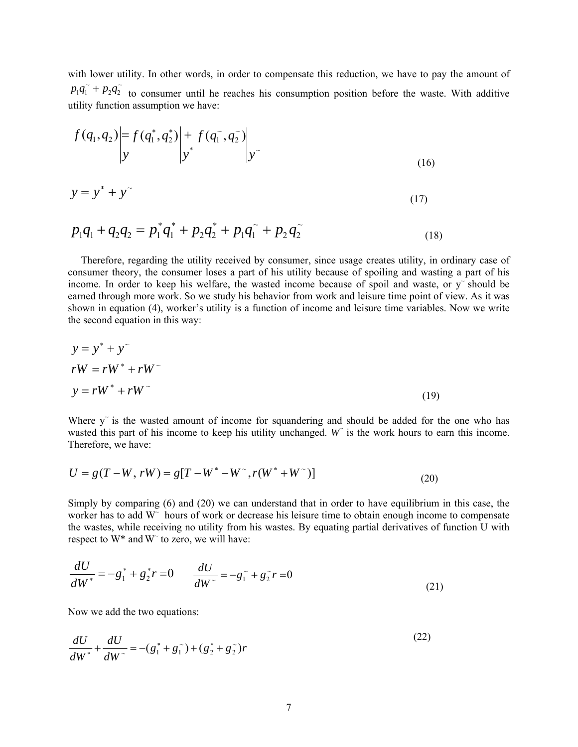with lower utility. In other words, in order to compensate this reduction, we have to pay the amount of  $p_1 q_1 + p_2 q_2$  to consumer until he reaches his consumption position before the waste. With additive utility function assumption we have:

$$
f(q_1, q_2) = f(q_1^*, q_2^*) \bigg| y + f(q_1^*, q_2^*) \bigg| y^*
$$
\n(16)

$$
y = y^* + y^{\sim}
$$
 (17)

$$
p_1q_1 + q_2q_2 = p_1^*q_1^* + p_2q_2^* + p_1q_1^* + p_2q_2^*
$$
\n(18)

 Therefore, regarding the utility received by consumer, since usage creates utility, in ordinary case of consumer theory, the consumer loses a part of his utility because of spoiling and wasting a part of his income. In order to keep his welfare, the wasted income because of spoil and waste, or  $y<sup>3</sup>$  should be earned through more work. So we study his behavior from work and leisure time point of view. As it was shown in equation (4), worker's utility is a function of income and leisure time variables. Now we write the second equation in this way:

$$
y = y^* + y^*
$$
  
\n
$$
rW = rW^* + rW^*
$$
  
\n
$$
y = rW^* + rW^*
$$
\n(19)

Where  $y<sup>o</sup>$  is the wasted amount of income for squandering and should be added for the one who has wasted this part of his income to keep his utility unchanged.  $W$  is the work hours to earn this income. Therefore, we have:

$$
U = g(T - W, rW) = g[T - W^* - W^*, r(W^* + W^*)]
$$
\n(20)

Simply by comparing (6) and (20) we can understand that in order to have equilibrium in this case, the worker has to add W<sup>o</sup> hours of work or decrease his leisure time to obtain enough income to compensate the wastes, while receiving no utility from his wastes. By equating partial derivatives of function U with respect to  $W^*$  and  $W^{\sim}$  to zero, we will have:

$$
\frac{dU}{dW^*} = -g_1^* + g_2^* r = 0 \qquad \frac{dU}{dW^*} = -g_1^* + g_2^* r = 0 \tag{21}
$$

Now we add the two equations:

$$
\frac{dU}{dW^*} + \frac{dU}{dW^*} = -(g_1^* + g_1^*) + (g_2^* + g_2^*)r
$$
\n(22)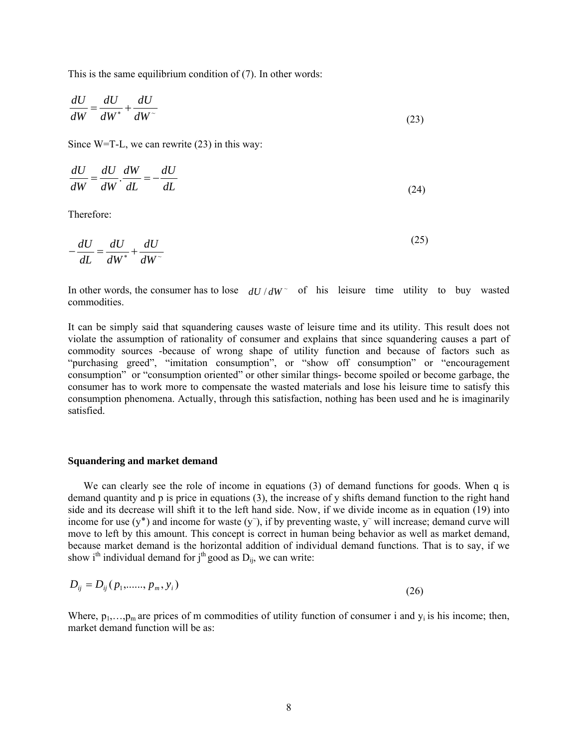This is the same equilibrium condition of (7). In other words:

$$
\frac{dU}{dW} = \frac{dU}{dW^*} + \frac{dU}{dW^*}
$$
\n(23)

Since W=T-L, we can rewrite (23) in this way:

$$
\frac{dU}{dW} = \frac{dU}{dW} \cdot \frac{dW}{dL} = -\frac{dU}{dL}
$$
\n(24)

Therefore:

$$
-\frac{dU}{dL} = \frac{dU}{dW^*} + \frac{dU}{dW^*}
$$
\n(25)

In other words, the consumer has to lose  $dU/dW^{\dagger}$  of his leisure time utility to buy wasted commodities.

It can be simply said that squandering causes waste of leisure time and its utility. This result does not violate the assumption of rationality of consumer and explains that since squandering causes a part of commodity sources -because of wrong shape of utility function and because of factors such as "purchasing greed", "imitation consumption", or "show off consumption" or "encouragement consumption" or "consumption oriented" or other similar things- become spoiled or become garbage, the consumer has to work more to compensate the wasted materials and lose his leisure time to satisfy this consumption phenomena. Actually, through this satisfaction, nothing has been used and he is imaginarily satisfied.

#### **Squandering and market demand**

 We can clearly see the role of income in equations (3) of demand functions for goods. When q is demand quantity and p is price in equations (3), the increase of y shifts demand function to the right hand side and its decrease will shift it to the left hand side. Now, if we divide income as in equation (19) into income for use  $(y^*)$  and income for waste  $(y^*)$ , if by preventing waste, y<sup> $\sim$ </sup> will increase; demand curve will move to left by this amount. This concept is correct in human being behavior as well as market demand, because market demand is the horizontal addition of individual demand functions. That is to say, if we show i<sup>th</sup> individual demand for  $j<sup>th</sup>$  good as  $D<sub>ii</sub>$ , we can write:

$$
D_{ij} = D_{ij}(p_1, \dots, p_m, y_i)
$$
\n(26)

Where,  $p_1, \ldots, p_m$  are prices of m commodities of utility function of consumer i and  $y_i$  is his income; then, market demand function will be as: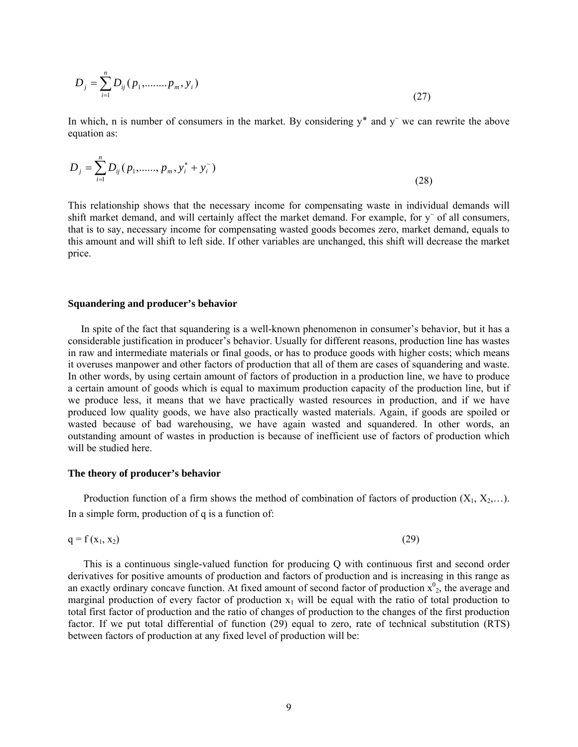$$
D_j = \sum_{i=1}^{n} D_{ij} (p_1, \dots, p_m, y_i)
$$
 (27)

In which, n is number of consumers in the market. By considering  $y^*$  and  $y^*$  we can rewrite the above equation as:

$$
D_j = \sum_{i=1}^n D_{ij} (p_1, \dots, p_m, y_i^* + y_i^*)
$$
\n(28)

This relationship shows that the necessary income for compensating waste in individual demands will shift market demand, and will certainly affect the market demand. For example, for  $y^{\sim}$  of all consumers, that is to say, necessary income for compensating wasted goods becomes zero, market demand, equals to this amount and will shift to left side. If other variables are unchanged, this shift will decrease the market price.

#### **Squandering and producer's behavior**

 In spite of the fact that squandering is a well-known phenomenon in consumer's behavior, but it has a considerable justification in producer's behavior. Usually for different reasons, production line has wastes in raw and intermediate materials or final goods, or has to produce goods with higher costs; which means it overuses manpower and other factors of production that all of them are cases of squandering and waste. In other words, by using certain amount of factors of production in a production line, we have to produce a certain amount of goods which is equal to maximum production capacity of the production line, but if we produce less, it means that we have practically wasted resources in production, and if we have produced low quality goods, we have also practically wasted materials. Again, if goods are spoiled or wasted because of bad warehousing, we have again wasted and squandered. In other words, an outstanding amount of wastes in production is because of inefficient use of factors of production which will be studied here.

#### **The theory of producer's behavior**

Production function of a firm shows the method of combination of factors of production  $(X_1, X_2,...)$ . In a simple form, production of q is a function of:

$$
q = f(x_1, x_2) \tag{29}
$$

 This is a continuous single-valued function for producing Q with continuous first and second order derivatives for positive amounts of production and factors of production and is increasing in this range as an exactly ordinary concave function. At fixed amount of second factor of production  $x_{2}^{0}$ , the average and marginal production of every factor of production  $x_1$  will be equal with the ratio of total production to total first factor of production and the ratio of changes of production to the changes of the first production factor. If we put total differential of function (29) equal to zero, rate of technical substitution (RTS) between factors of production at any fixed level of production will be: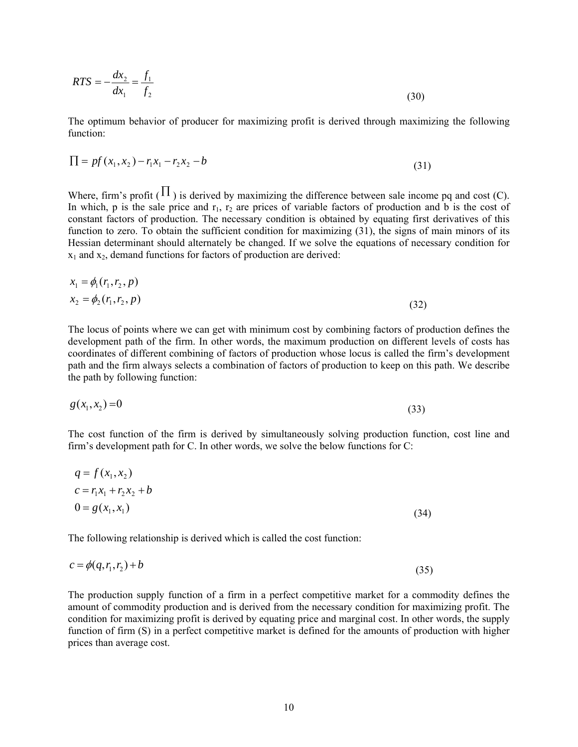$$
RTS = -\frac{dx_2}{dx_1} = \frac{f_1}{f_2}
$$
\n(30)

The optimum behavior of producer for maximizing profit is derived through maximizing the following function:

$$
\Pi = pf(x_1, x_2) - r_1 x_1 - r_2 x_2 - b \tag{31}
$$

Where, firm's profit ( $\Pi$ ) is derived by maximizing the difference between sale income pq and cost (C). In which, p is the sale price and  $r_1$ ,  $r_2$  are prices of variable factors of production and b is the cost of constant factors of production. The necessary condition is obtained by equating first derivatives of this function to zero. To obtain the sufficient condition for maximizing (31), the signs of main minors of its Hessian determinant should alternately be changed. If we solve the equations of necessary condition for  $x_1$  and  $x_2$ , demand functions for factors of production are derived:

$$
x_1 = \phi_1(r_1, r_2, p) x_2 = \phi_2(r_1, r_2, p)
$$
\n(32)

The locus of points where we can get with minimum cost by combining factors of production defines the development path of the firm. In other words, the maximum production on different levels of costs has coordinates of different combining of factors of production whose locus is called the firm's development path and the firm always selects a combination of factors of production to keep on this path. We describe the path by following function:

$$
g(x_1, x_2) = 0 \tag{33}
$$

The cost function of the firm is derived by simultaneously solving production function, cost line and firm's development path for C. In other words, we solve the below functions for C:

$$
q = f(x_1, x_2)
$$
  
\n
$$
c = r_1 x_1 + r_2 x_2 + b
$$
  
\n
$$
0 = g(x_1, x_1)
$$
\n(34)

The following relationship is derived which is called the cost function:

$$
c = \phi(q, r_1, r_2) + b \tag{35}
$$

The production supply function of a firm in a perfect competitive market for a commodity defines the amount of commodity production and is derived from the necessary condition for maximizing profit. The condition for maximizing profit is derived by equating price and marginal cost. In other words, the supply function of firm (S) in a perfect competitive market is defined for the amounts of production with higher prices than average cost.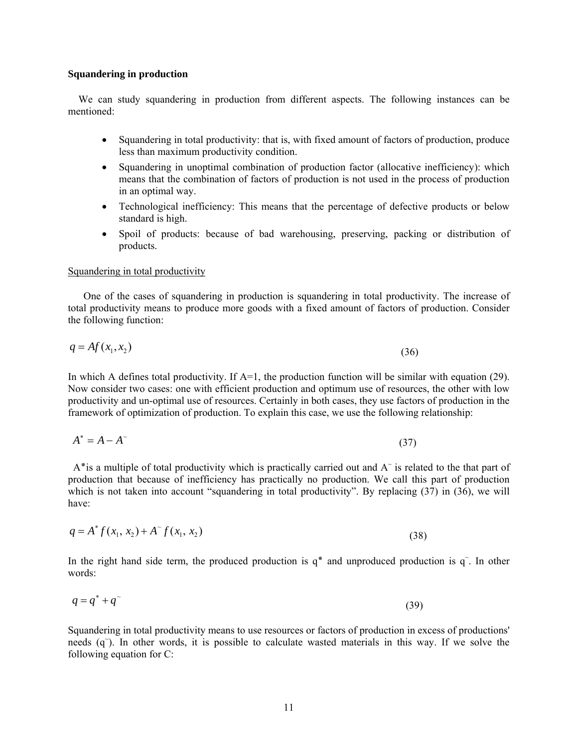#### **Squandering in production**

 We can study squandering in production from different aspects. The following instances can be mentioned:

- Squandering in total productivity: that is, with fixed amount of factors of production, produce less than maximum productivity condition.
- Squandering in unoptimal combination of production factor (allocative inefficiency): which means that the combination of factors of production is not used in the process of production in an optimal way.
- Technological inefficiency: This means that the percentage of defective products or below standard is high.
- Spoil of products: because of bad warehousing, preserving, packing or distribution of products.

#### Squandering in total productivity

 One of the cases of squandering in production is squandering in total productivity. The increase of total productivity means to produce more goods with a fixed amount of factors of production. Consider the following function:

$$
q = Af(x_1, x_2) \tag{36}
$$

In which A defines total productivity. If  $A=1$ , the production function will be similar with equation (29). Now consider two cases: one with efficient production and optimum use of resources, the other with low productivity and un-optimal use of resources. Certainly in both cases, they use factors of production in the framework of optimization of production. To explain this case, we use the following relationship:

$$
A^* = A - A^\sim \tag{37}
$$

A\* is a multiple of total productivity which is practically carried out and  $A<sup>~</sup>$  is related to the that part of production that because of inefficiency has practically no production. We call this part of production which is not taken into account "squandering in total productivity". By replacing  $(37)$  in  $(36)$ , we will have:

$$
q = A^* f(x_1, x_2) + A^* f(x_1, x_2)
$$
\n(38)

In the right hand side term, the produced production is  $q^*$  and unproduced production is  $q^*$ . In other words:

$$
q = q^* + q^{\tilde{ }} \tag{39}
$$

Squandering in total productivity means to use resources or factors of production in excess of productions' needs (q<sup> $\tilde{q}$ </sup>). In other words, it is possible to calculate wasted materials in this way. If we solve the following equation for C: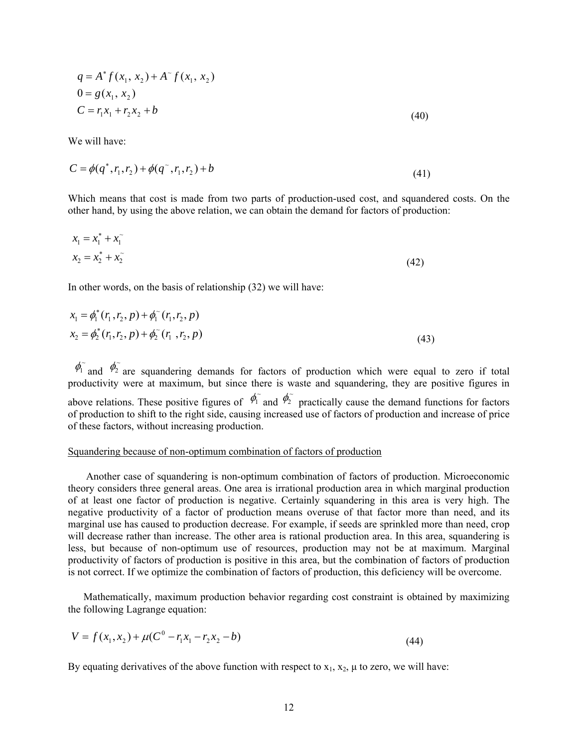$$
q = A^* f(x_1, x_2) + A^* f(x_1, x_2)
$$
  
\n
$$
0 = g(x_1, x_2)
$$
  
\n
$$
C = r_1 x_1 + r_2 x_2 + b
$$
\n(40)

We will have:

$$
C = \phi(q^*, r_1, r_2) + \phi(q^*, r_1, r_2) + b \tag{41}
$$

Which means that cost is made from two parts of production-used cost, and squandered costs. On the other hand, by using the above relation, we can obtain the demand for factors of production:

$$
x_1 = x_1^* + x_1^-
$$
  

$$
x_2 = x_2^* + x_2^-
$$
 (42)

In other words, on the basis of relationship (32) we will have:

$$
x_1 = \phi_1^*(r_1, r_2, p) + \phi_1^*(r_1, r_2, p)
$$
  
\n
$$
x_2 = \phi_2^*(r_1, r_2, p) + \phi_2^*(r_1, r_2, p)
$$
\n(43)

 $\phi_1$  and  $\phi_2$  are squandering demands for factors of production which were equal to zero if total productivity were at maximum, but since there is waste and squandering, they are positive figures in above relations. These positive figures of  $\phi_1^{\sim}$  and  $\phi_2^{\sim}$  practically cause the demand functions for factors of production to shift to the right side, causing increased use of factors of production and increase of price of these factors, without increasing production.

## Squandering because of non-optimum combination of factors of production

 Another case of squandering is non-optimum combination of factors of production. Microeconomic theory considers three general areas. One area is irrational production area in which marginal production of at least one factor of production is negative. Certainly squandering in this area is very high. The negative productivity of a factor of production means overuse of that factor more than need, and its marginal use has caused to production decrease. For example, if seeds are sprinkled more than need, crop will decrease rather than increase. The other area is rational production area. In this area, squandering is less, but because of non-optimum use of resources, production may not be at maximum. Marginal productivity of factors of production is positive in this area, but the combination of factors of production is not correct. If we optimize the combination of factors of production, this deficiency will be overcome.

 Mathematically, maximum production behavior regarding cost constraint is obtained by maximizing the following Lagrange equation:

$$
V = f(x_1, x_2) + \mu(C^0 - r_1 x_1 - r_2 x_2 - b)
$$
\n(44)

By equating derivatives of the above function with respect to  $x_1, x_2, \mu$  to zero, we will have: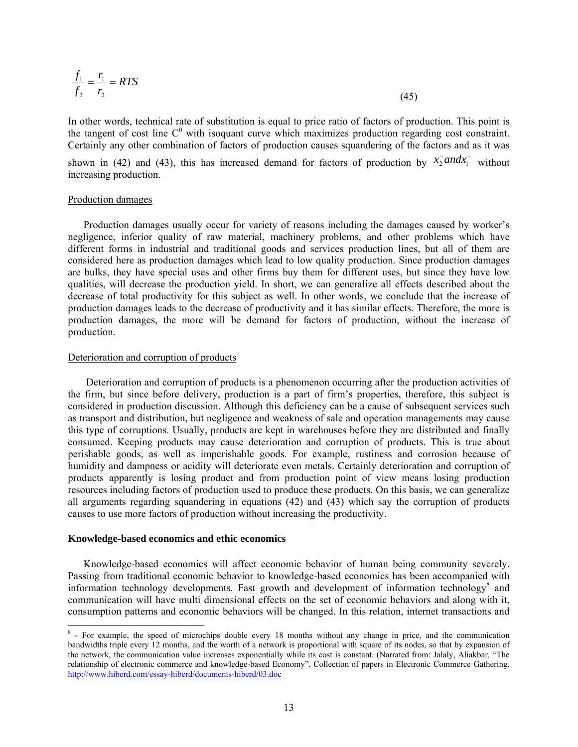$$
\frac{f_1}{f_2} = \frac{r_1}{r_2} = RTS
$$
\n(45)

In other words, technical rate of substitution is equal to price ratio of factors of production. This point is the tangent of cost line  $C^0$  with isoquant curve which maximizes production regarding cost constraint. Certainly any other combination of factors of production causes squandering of the factors and as it was

shown in (42) and (43), this has increased demand for factors of production by  $\tilde{x}_1^{\tilde{z}}$  and  $\tilde{x}_1^{\tilde{z}}$  $x_2^{\sim}$ *and* $x_1^{\sim}$  without increasing production.

## Production damages

 Production damages usually occur for variety of reasons including the damages caused by worker's negligence, inferior quality of raw material, machinery problems, and other problems which have different forms in industrial and traditional goods and services production lines, but all of them are considered here as production damages which lead to low quality production. Since production damages are bulks, they have special uses and other firms buy them for different uses, but since they have low qualities, will decrease the production yield. In short, we can generalize all effects described about the decrease of total productivity for this subject as well. In other words, we conclude that the increase of production damages leads to the decrease of productivity and it has similar effects. Therefore, the more is production damages, the more will be demand for factors of production, without the increase of production.

## Deterioration and corruption of products

 Deterioration and corruption of products is a phenomenon occurring after the production activities of the firm, but since before delivery, production is a part of firm's properties, therefore, this subject is considered in production discussion. Although this deficiency can be a cause of subsequent services such as transport and distribution, but negligence and weakness of sale and operation managements may cause this type of corruptions. Usually, products are kept in warehouses before they are distributed and finally consumed. Keeping products may cause deterioration and corruption of products. This is true about perishable goods, as well as imperishable goods. For example, rustiness and corrosion because of humidity and dampness or acidity will deteriorate even metals. Certainly deterioration and corruption of products apparently is losing product and from production point of view means losing production resources including factors of production used to produce these products. On this basis, we can generalize all arguments regarding squandering in equations (42) and (43) which say the corruption of products causes to use more factors of production without increasing the productivity.

## **Knowledge-based economics and ethic economics**

 Knowledge-based economics will affect economic behavior of human being community severely. Passing from traditional economic behavior to knowledge-based economics has been accompanied with information technology developments. Fast growth and development of information technology<sup>8</sup> and communication will have multi dimensional effects on the set of economic behaviors and along with it, consumption patterns and economic behaviors will be changed. In this relation, internet transactions and

<sup>&</sup>lt;sup>8</sup> - For example, the speed of microchips double every 18 months without any change in price, and the communication bandwidths triple every 12 months, and the worth of a network is proportional with square of its nodes, so that by expansion of the network, the communication value increases exponentially while its cost is constant. (Narrated from: Jalaly, Aliakbar, "The relationship of electronic commerce and knowledge-based Economy", Collection of papers in Electronic Commerce Gathering. http://www.hiberd.com/essay-hiberd/documents-hiberd/03.doc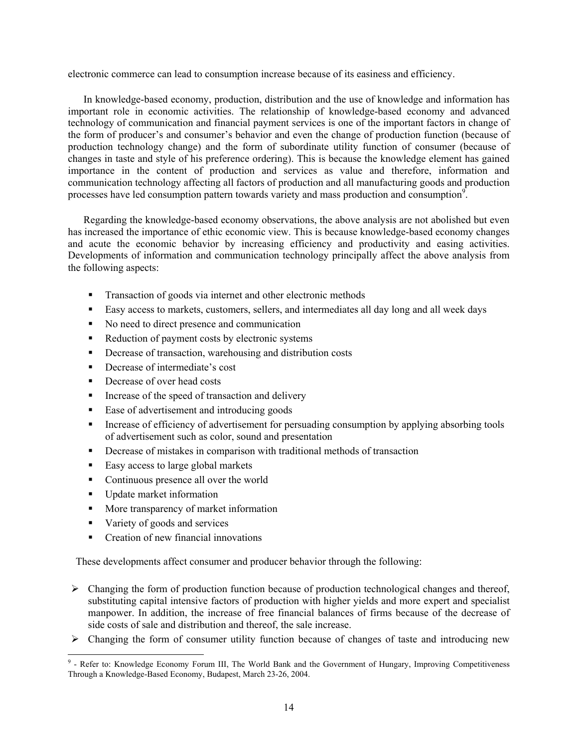electronic commerce can lead to consumption increase because of its easiness and efficiency.

 In knowledge-based economy, production, distribution and the use of knowledge and information has important role in economic activities. The relationship of knowledge-based economy and advanced technology of communication and financial payment services is one of the important factors in change of the form of producer's and consumer's behavior and even the change of production function (because of production technology change) and the form of subordinate utility function of consumer (because of changes in taste and style of his preference ordering). This is because the knowledge element has gained importance in the content of production and services as value and therefore, information and communication technology affecting all factors of production and all manufacturing goods and production processes have led consumption pattern towards variety and mass production and consumption<sup>9</sup>.

 Regarding the knowledge-based economy observations, the above analysis are not abolished but even has increased the importance of ethic economic view. This is because knowledge-based economy changes and acute the economic behavior by increasing efficiency and productivity and easing activities. Developments of information and communication technology principally affect the above analysis from the following aspects:

- **Transaction of goods via internet and other electronic methods**
- Easy access to markets, customers, sellers, and intermediates all day long and all week days
- No need to direct presence and communication
- Reduction of payment costs by electronic systems
- **•** Decrease of transaction, warehousing and distribution costs
- Decrease of intermediate's cost
- Decrease of over head costs
- Increase of the speed of transaction and delivery
- Ease of advertisement and introducing goods
- **Increase of efficiency of advertisement for persuading consumption by applying absorbing tools** of advertisement such as color, sound and presentation
- Decrease of mistakes in comparison with traditional methods of transaction
- Easy access to large global markets
- Continuous presence all over the world
- Update market information
- **More transparency of market information**
- variety of goods and services
- Creation of new financial innovations

These developments affect consumer and producer behavior through the following:

- $\triangleright$  Changing the form of production function because of production technological changes and thereof, substituting capital intensive factors of production with higher yields and more expert and specialist manpower. In addition, the increase of free financial balances of firms because of the decrease of side costs of sale and distribution and thereof, the sale increase.
- $\triangleright$  Changing the form of consumer utility function because of changes of taste and introducing new

**EXECTE:**<br> **EXECTE 18 - Alterative Formand Construct** Post of Hungary, Improving Competitiveness<br> **EXECTE:** Competitiveness<br> **EXECTE:** November 4 - Government of Hungary, Improving Competitiveness Through a Knowledge-Based Economy, Budapest, March 23-26, 2004.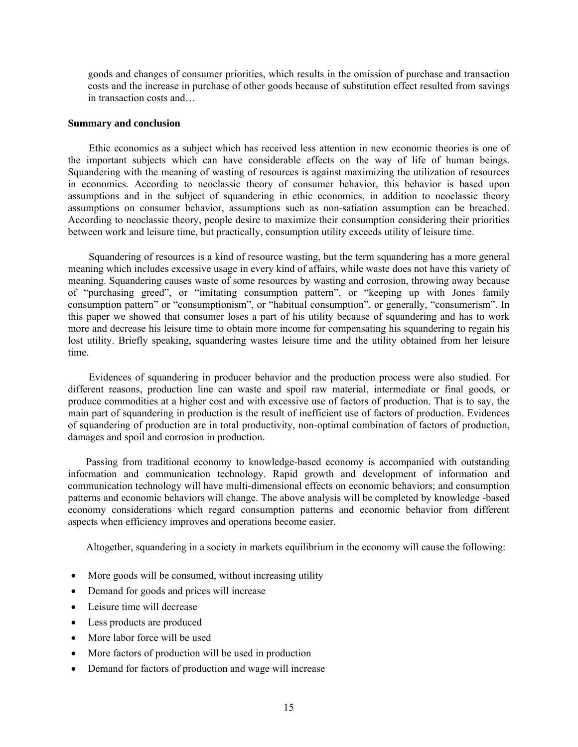goods and changes of consumer priorities, which results in the omission of purchase and transaction costs and the increase in purchase of other goods because of substitution effect resulted from savings in transaction costs and

#### **Summary and conclusion**

 Ethic economics as a subject which has received less attention in new economic theories is one of the important subjects which can have considerable effects on the way of life of human beings. Squandering with the meaning of wasting of resources is against maximizing the utilization of resources in economics. According to neoclassic theory of consumer behavior, this behavior is based upon assumptions and in the subject of squandering in ethic economics, in addition to neoclassic theory assumptions on consumer behavior, assumptions such as non-satiation assumption can be breached. According to neoclassic theory, people desire to maximize their consumption considering their priorities between work and leisure time, but practically, consumption utility exceeds utility of leisure time.

 Squandering of resources is a kind of resource wasting, but the term squandering has a more general meaning which includes excessive usage in every kind of affairs, while waste does not have this variety of meaning. Squandering causes waste of some resources by wasting and corrosion, throwing away because of "purchasing greed", or "imitating consumption pattern", or "keeping up with Jones family consumption pattern" or "consumptionism", or "habitual consumption", or generally, "consumerism". In this paper we showed that consumer loses a part of his utility because of squandering and has to work more and decrease his leisure time to obtain more income for compensating his squandering to regain his lost utility. Briefly speaking, squandering wastes leisure time and the utility obtained from her leisure time.

 Evidences of squandering in producer behavior and the production process were also studied. For different reasons, production line can waste and spoil raw material, intermediate or final goods, or produce commodities at a higher cost and with excessive use of factors of production. That is to say, the main part of squandering in production is the result of inefficient use of factors of production. Evidences of squandering of production are in total productivity, non-optimal combination of factors of production, damages and spoil and corrosion in production.

 Passing from traditional economy to knowledge-based economy is accompanied with outstanding information and communication technology. Rapid growth and development of information and communication technology will have multi-dimensional effects on economic behaviors; and consumption patterns and economic behaviors will change. The above analysis will be completed by knowledge -based economy considerations which regard consumption patterns and economic behavior from different aspects when efficiency improves and operations become easier.

Altogether, squandering in a society in markets equilibrium in the economy will cause the following:

- More goods will be consumed, without increasing utility
- Demand for goods and prices will increase
- Leisure time will decrease
- Less products are produced
- More labor force will be used
- More factors of production will be used in production
- Demand for factors of production and wage will increase